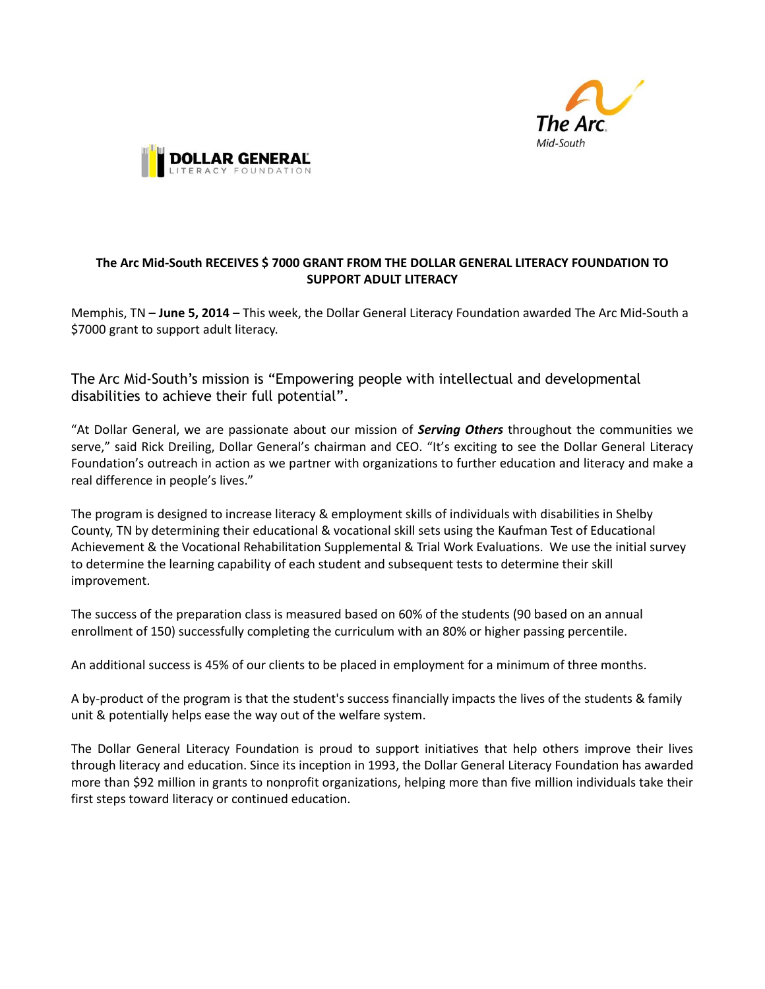



## **The Arc Mid-South RECEIVES \$ 7000 GRANT FROM THE DOLLAR GENERAL LITERACY FOUNDATION TO SUPPORT ADULT LITERACY**

Memphis, TN – **June 5, 2014** – This week, the Dollar General Literacy Foundation awarded The Arc Mid-South a \$7000 grant to support adult literacy.

The Arc Mid-South's mission is "Empowering people with intellectual and developmental disabilities to achieve their full potential".

"At Dollar General, we are passionate about our mission of *Serving Others* throughout the communities we serve," said Rick Dreiling, Dollar General's chairman and CEO. "It's exciting to see the Dollar General Literacy Foundation's outreach in action as we partner with organizations to further education and literacy and make a real difference in people's lives."

The program is designed to increase literacy & employment skills of individuals with disabilities in Shelby County, TN by determining their educational & vocational skill sets using the Kaufman Test of Educational Achievement & the Vocational Rehabilitation Supplemental & Trial Work Evaluations. We use the initial survey to determine the learning capability of each student and subsequent tests to determine their skill improvement.

The success of the preparation class is measured based on 60% of the students (90 based on an annual enrollment of 150) successfully completing the curriculum with an 80% or higher passing percentile.

An additional success is 45% of our clients to be placed in employment for a minimum of three months.

A by-product of the program is that the student's success financially impacts the lives of the students & family unit & potentially helps ease the way out of the welfare system.

The Dollar General Literacy Foundation is proud to support initiatives that help others improve their lives through literacy and education. Since its inception in 1993, the Dollar General Literacy Foundation has awarded more than \$92 million in grants to nonprofit organizations, helping more than five million individuals take their first steps toward literacy or continued education.